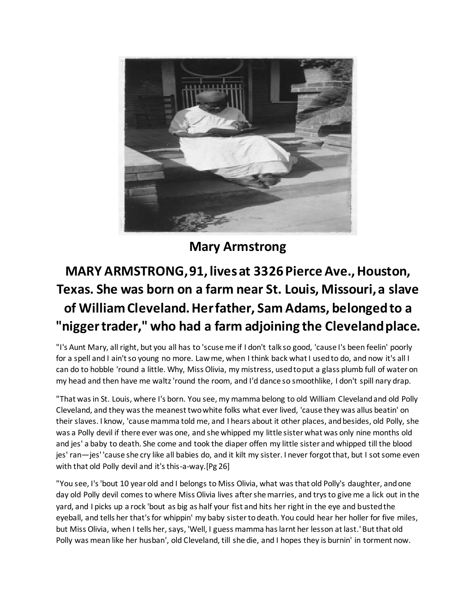

**Mary Armstrong**

## **MARY ARMSTRONG, 91, lives at 3326 Pierce Ave., Houston, Texas. She was born on a farm near St. Louis, Missouri, a slave of William Cleveland. Her father, Sam Adams, belonged to a "nigger trader," who had a farm adjoining the Cleveland place.**

"I's Aunt Mary, all right, but you all has to 'scuse me if I don't talk so good, 'cause I's been feelin' poorly for a spell and I ain't so young no more. Law me, when I think back what I used to do, and now it's all I can do to hobble 'round a little. Why, Miss Olivia, my mistress, used to put a glass plumb full of water on my head and then have me waltz 'round the room, and I'd dance so smoothlike, I don't spill nary drap.

"That was in St. Louis, where I's born. You see, my mamma belong to old William Cleveland and old Polly Cleveland, and they was the meanest two white folks what ever lived, 'cause they was allus beatin' on their slaves. I know, 'cause mamma told me, and I hears about it other places, and besides, old Polly, she was a Polly devil if there ever was one, and she whipped my little sister what was only nine months old and jes' a baby to death. She come and took the diaper offen my little sister and whipped till the blood jes' ran—jes' 'cause she cry like all babies do, and it kilt my sister. I never forgot that, but I sot some even with that old Polly devil and it's this-a-way.[Pg 26]

"You see, I's 'bout 10 year old and I belongs to Miss Olivia, what was that old Polly's daughter, and one day old Polly devil comes to where Miss Olivia lives after she marries, and trys to give me a lick out in the yard, and I picks up a rock 'bout as big as half your fist and hits her right in the eye and busted the eyeball, and tells her that's for whippin' my baby sister to death. You could hear her holler for five miles, but Miss Olivia, when I tells her, says, 'Well, I guess mamma has larnt her lesson at last.' But that old Polly was mean like her husban', old Cleveland, till she die, and I hopes they is burnin' in torment now.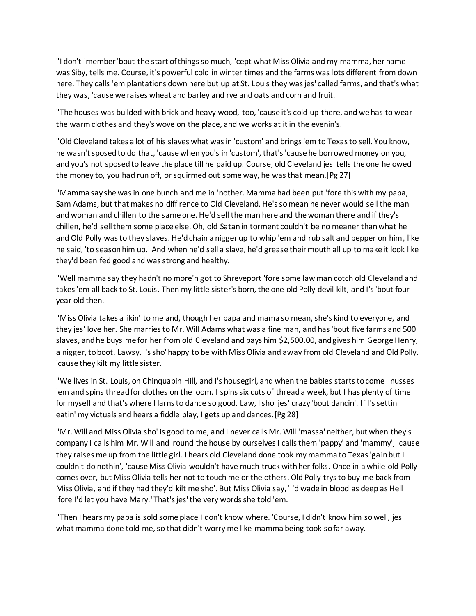"I don't 'member 'bout the start of things so much, 'cept what Miss Olivia and my mamma, her name was Siby, tells me. Course, it's powerful cold in winter times and the farms was lots different from down here. They calls 'em plantations down here but up at St. Louis they was jes' called farms, and that's what they was, 'cause we raises wheat and barley and rye and oats and corn and fruit.

"The houses was builded with brick and heavy wood, too, 'cause it's cold up there, and we has to wear the warm clothes and they's wove on the place, and we works at it in the evenin's.

"Old Cleveland takes a lot of his slaves what was in 'custom' and brings 'em to Texas to sell. You know, he wasn't sposed to do that, 'cause when you's in 'custom', that's 'cause he borrowed money on you, and you's not sposed to leave the place till he paid up. Course, old Cleveland jes' tells the one he owed the money to, you had run off, or squirmed out some way, he was that mean.[Pg 27]

"Mamma say she was in one bunch and me in 'nother. Mamma had been put 'fore this with my papa, Sam Adams, but that makes no diff'rence to Old Cleveland. He's so mean he never would sell the man and woman and chillen to the same one. He'd sell the man here and the woman there and if they's chillen, he'd sell them some place else. Oh, old Satan in torment couldn't be no meaner than what he and Old Polly was to they slaves. He'd chain a nigger up to whip 'em and rub salt and pepper on him, like he said, 'to season him up.' And when he'd sell a slave, he'd grease their mouth all up to make it look like they'd been fed good and was strong and healthy.

"Well mamma say they hadn't no more'n got to Shreveport 'fore some law man cotch old Cleveland and takes 'em all back to St. Louis. Then my little sister's born, the one old Polly devil kilt, and I's 'bout four year old then.

"Miss Olivia takes a likin' to me and, though her papa and mama so mean, she's kind to everyone, and they jes' love her. She marries to Mr. Will Adams what was a fine man, and has 'bout five farms and 500 slaves, and he buys me for her from old Cleveland and pays him \$2,500.00, and gives him George Henry, a nigger, to boot. Lawsy, I's sho' happy to be with Miss Olivia and away from old Cleveland and Old Polly, 'cause they kilt my little sister.

"We lives in St. Louis, on Chinquapin Hill, and I's housegirl, and when the babies starts to come I nusses 'em and spins thread for clothes on the loom. I spins six cuts of thread a week, but I has plenty of time for myself and that's where I larns to dance so good. Law, I sho' jes' crazy 'bout dancin'. If I's settin' eatin' my victuals and hears a fiddle play, I gets up and dances.[Pg 28]

"Mr. Will and Miss Olivia sho' is good to me, and I never calls Mr. Will 'massa' neither, but when they's company I calls him Mr. Will and 'round the house by ourselves I calls them 'pappy' and 'mammy', 'cause they raises me up from the little girl. I hears old Cleveland done took my mamma to Texas 'gain but I couldn't do nothin', 'cause Miss Olivia wouldn't have much truck with her folks. Once in a while old Polly comes over, but Miss Olivia tells her not to touch me or the others. Old Polly trys to buy me back from Miss Olivia, and if they had they'd kilt me sho'. But Miss Olivia say, 'I'd wade in blood as deep as Hell 'fore I'd let you have Mary.' That's jes' the very words she told 'em.

"Then I hears my papa is sold some place I don't know where. 'Course, I didn't know him so well, jes' what mamma done told me, so that didn't worry me like mamma being took so far away.